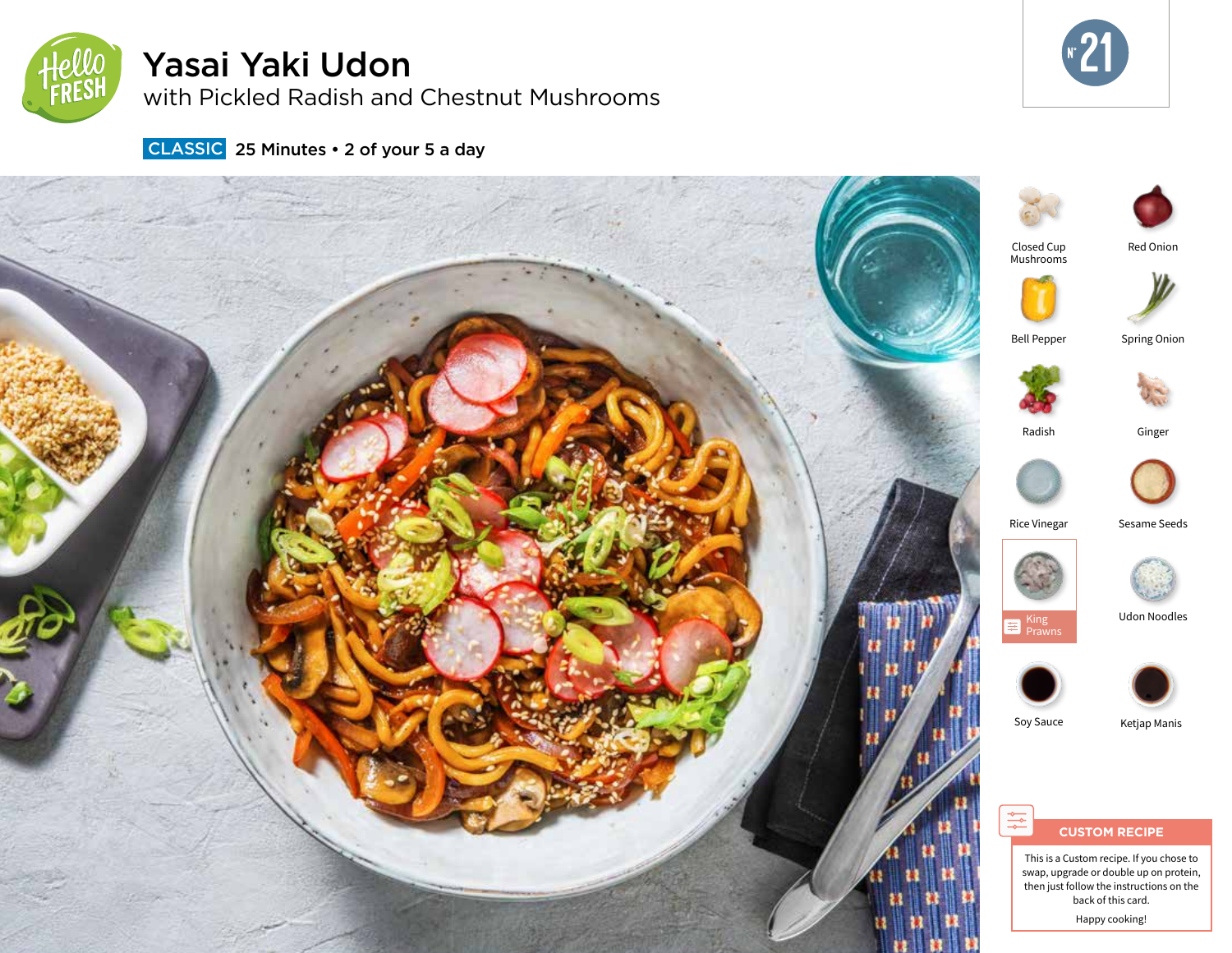

# Yasai Yaki Udon

with Pickled Radish and Chestnut Mushrooms



CLASSIC 25 Minutes • 2 of your 5 a day